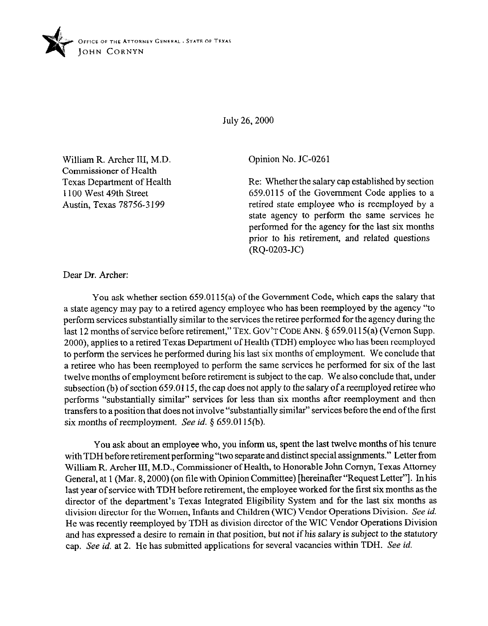

July 26,200O

William R. Archer III, M.D. Commissioner of Health Texas Department of Health 1100 West 49th Street Austin, Texas 78756-3 199

Opinion No. JC-0261

Re: Whether the salary cap established by section 659.0115 of the Government Code applies to a retired state employee who is reemployed by a state agency to perform the same services he performed for the agency for the last six months prior to his retirement, and related questions  $(RQ-0203-JC)$ 

Dear Dr. Archer:

You ask whether section 659.0115(a) of the Government Code, which caps the salary that a state agency may pay to a retired agency employee who has been reemployed by the agency "to perform services substantially similar to the services the retiree performed for the agency during the last 12 months of service before retirement," TEX. GOV'T CODE ANN. § 659,0115(a) (Vernon Supp. 2000), applies to a retired Texas Department of Health (TDH) employee who has been reemployed to perform the services he performed during his last six months of employment. We conclude that a retiree who has been reemployed to perform the same services he performed for six of the last twelve months of employment before retirement is subject to the cap. We also conclude that, under subsection (b) of section 659.0115, the cap does not apply to the salary of a reemployed retiree who performs "substantially similar" services for less than six months after reemployment and then transfers to a position that does not involve "substantially similar" services before the end of the first six months of reemployment. See *id. \$ 659.0115(b).* 

You ask about an employee who, you inform us, spent the last twelve months of his tenure with TDH before retirement performing "two separate and distinct special assignments." Letter from William R. Archer III, M.D., Commissioner of Health, to Honorable John Comyn, Texas Attorney General, at 1 (Mar. 8,200O) (on tile with Opinion Committee) [hereinafter "Request Letter"]. In his last year of service with TDH before retirement, the employee worked for the first six months as the director of the department's Texas Integrated Eligibility System and for the last six months as division director for the Women, Infants and Children (WIC) Vendor Operations Division. See *id.*  He was recently reemployed by TDH as division director of the WIC Vendor Operations Division and has expressed a desire to remain in that position, but not if his salary is subject to the statutory cap. See *id.* at 2. He has submitted applications for several vacancies within TDH. See *id.*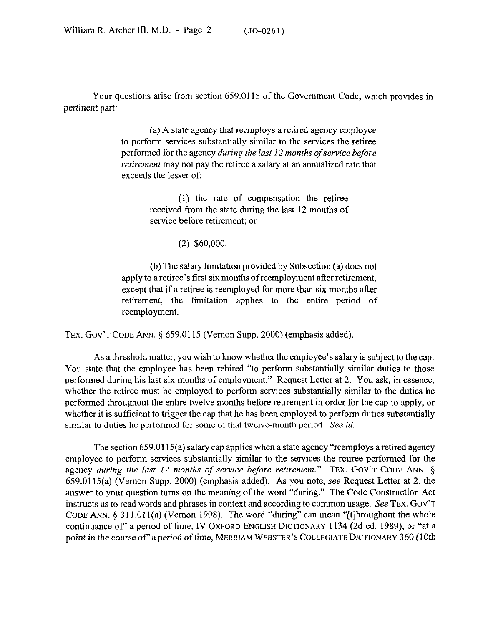Your questions arise from section 659.0115 of the Government Code, which provides in pertinent part:

> (a) A state agency that reemploys a retired agency employee to perform services substantially similar to the services the retiree performed for the agency *during the last I2 months of service before retirement* may not pay the retiree a salary at an annualized rate that exceeds the lesser of:

> > (1) the rate of compensation the retiree received from the state during the last 12 months of service before retirement; or

> > > *(2) \$60,000.*

(b) The salary limitation provided by Subsection (a) does not apply to a retiree's first six months ofreemployment after retirement, except that if a retiree is reemployed for more than six months after retirement, the limitation applies to the entire period of reemployment.

TEX. GOV'T CODE ANN. § 659.0115 (Vernon Supp. 2000) (emphasis added).

As a threshold matter, you wish to know whether the employee's salary is subject to the cap. You state that the employee has been rehired "to perform substantially similar duties to those performed during his last six months of employment." Request Letter at 2. You ask, in essence, whether the retiree must be employed to perform services substantially similar to the duties he performed throughout the entire twelve months before retirement in order for the cap to apply, or whether it is sufficient to trigger the cap that he has been employed to perform duties substantially similar to duties he performed for some of that twelve-month period. See *id.* 

The section 659.0115(a) salary cap applies when a state agency "reemploys a retired agency employee to perform services substantially similar to the services the retiree performed for the agency *during the last I2 months of service before retirement."* TEX. GOV'T CODE ANN. § 659,0115(a) (Vernon Supp. 2000) (emphasis added). As you note, see Request Letter at 2, the answer to your question turns on the meaning of the word "during." The Code Construction Act instructs us to read words and phrases in **context** and according to common usage. See TEX. GOV'T CODE ANN. § 311.011(a) (Vernon 1998). The word "during" can mean "[t] hroughout the whole continuance **of'** a period of time, IV OXFORD ENGLISH DICTIONARY 1134 (2d ed. 1989), or "at a point in the *course* **of** a period of time, MERRIAM WEBSTER'S COLLEGIATE DICTIONARY 360 (10th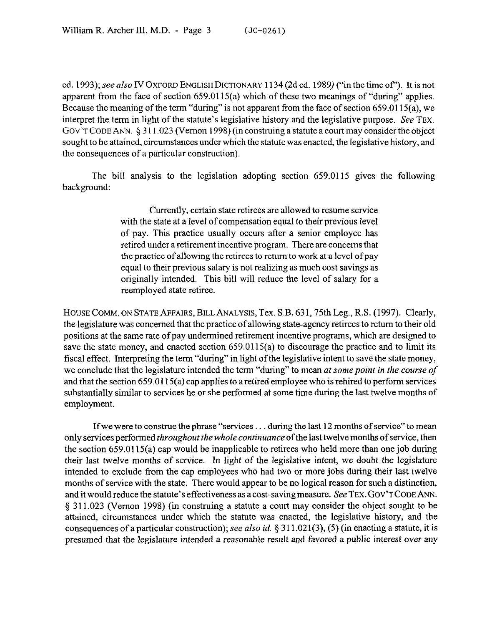ed. 1993); see also IV OXFORD ENGLISH DICTIONARY 1134 (2d ed. 1989) ("in the time of"). It is not apparent from the face of section 659.0115(a) which of these two meanings of "during" applies. Because the meaning of the term "during" is not apparent from the face of section 659.0115(a), we interpret the term in light of the statute's legislative history and the legislative purpose. See TEX. GOV'T CODE ANN.  $\S 311.023$  (Vernon 1998) (in construing a statute a court may consider the object sought to be attained, circumstances under which the statute was enacted, the legislative history, and the consequences of a particular construction).

The bill analysis to the legislation adopting section 659.0115 gives the following background:

> Currently, certain state retirees are allowed to resume service with the state at a level of compensation equal to their previous level of pay. This practice usually occurs after a senior employee has retired under a retirement incentive program. There are concerns that the practice of allowing the retirees to return to work at a level of pay equal to their previous salary is not realizing as much cost savings as originally intended. This bill will reduce the level of salary for a reemployed state retiree.

HOUSE COMM. ON STATE AFFAIRS, BILL ANALYSIS, Tex. S.B. 631,75th Leg., R.S. (1997). Clearly, the legislature was concerned that the practice of allowing state-agency retirees to return to their old positions at the same rate of pay undermined retirement incentive programs, which are designed to save the state money, and enacted section 659.0115(a) to discourage the practice and to limit its fiscal effect. Interpreting the term "during" in light of the legislative intent to save the state money, we conclude that the legislature intended *the* term "during" to mean *at somepoint in the course of*  and that the section 659.0115(a) cap applies to aretired employee who is rehired to perform services substantially similar to services he or she performed at some time during the last twelve months of employment.

If we were to construe the phrase "services  $\dots$  during the last 12 months of service" to mean only services performed *throughout the whole continuance* ofthe last twelve months of service, then the section  $659.0115(a)$  cap would be inapplicable to retirees who held more than one job during their last twelve months of service. In light of the legislative intent, we doubt the legislature intended to exclude from the cap employees who had two or more jobs during their last twelve months of service with the state. There would appear to be no logical reason for such a distinction, and it would reduce the statute's effectiveness as a cost-saving measure. See TEX. GOV'T CODE ANN. § 311.023 (Vernon 1998) (in construing a statute a court may consider the object sought to be attained, circumstances under which the statute was enacted, the legislative history, and the consequences of a particular construction); see also *id.* § 311.021(3), (5) (in enacting a statute, it is presumed that the legislature intended a reasonable result and favored a public interest *over any*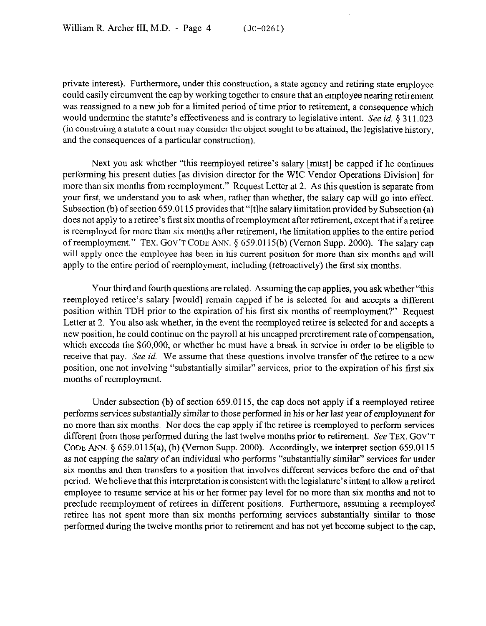private interest). Furthermore, under this construction, a state agency and retiring state **employee**  could easily circumvent the cap by working together to ensure that an employee nearing retirement was reassigned to a new job for a limited period of time prior to retirement, a consequence which would undermine the statute's effectiveness and is contrary to legislative intent. See id. § 311.023 (in construing a statute a court may consider the object sought to be attained, the legislative history, and the consequences of a particular construction).

Next you ask whether "this reemployed retiree's salary [must] be capped if he continues performing his present duties [as division director for the WIC Vendor Operations Division] for more than six months from reemployment." Request Letter at 2. As this question is separate from your first, we understand you to ask when, rather than whether, the salary cap will go into effect. Subsection (b) of section 659.0115 provides that "[t]he salary limitation provided by Subsection (a) does not apply to a retiree's first six months ofreemployment after retirement, except that if aretiree is reemployed for more than six months after retirement, the limitation applies to the entire period of reemployment." **TEX. GOV'T CODE ANN.** 5 659.0115(b) (Vernon Supp. 2000). The salary cap will apply once the employee has been in his current position for more than six months and will apply to the entire period of reemployment, including (retroactively) the first six months.

Your third and fourth questions are related. Assuming the cap applies, you ask whether "this reemployed retiree's salary [would] remain capped if he is selected for and accepts a different position within TDH prior to the expiration of his first six months of reemployment?' Request Letter at 2. You also ask whether, in the event the reemployed retiree is selected for and accepts a new position, he could continue on the payroll at his uncapped preretirement rate of compensation, which exceeds the \$60,000, or whether he must have a break in service in order to be eligible to receive that pay. See *id.* We assume that these questions involve transfer of the retiree to a new position, one not involving "substantially similar" services, prior to the expiration of his first six months of reemployment.

Under subsection (b) of section 659.0115, the cap does not apply if a reemployed retiree performs services substantially similar to those performed in his or her last year of employment for no more than six months. Nor does the cap apply if the retiree is reemployed to perform services different from those performed during the last twelve months prior to retirement. See **TEX. GOV'T CODE ANN.** 5 659,0115(a), (b) (Vernon Supp. 2000). Accordingly, we interpret section 659.0115 as not capping the salary of an individual who performs "substantially similar" services for under six months and then transfers to a position that involves different services before the end of that period. We believe that this interpretation is consistent with the legislature's intent to allow a retired employee to resume service at his or her former pay level for no more than six months and not to preclude reemployment of retirees in different positions. Furthermore, assuming a reemployed retiree has not spent more than six months performing services substantially similar to those performed during the twelve months prior to retirement and has not yet become subject to the cap,